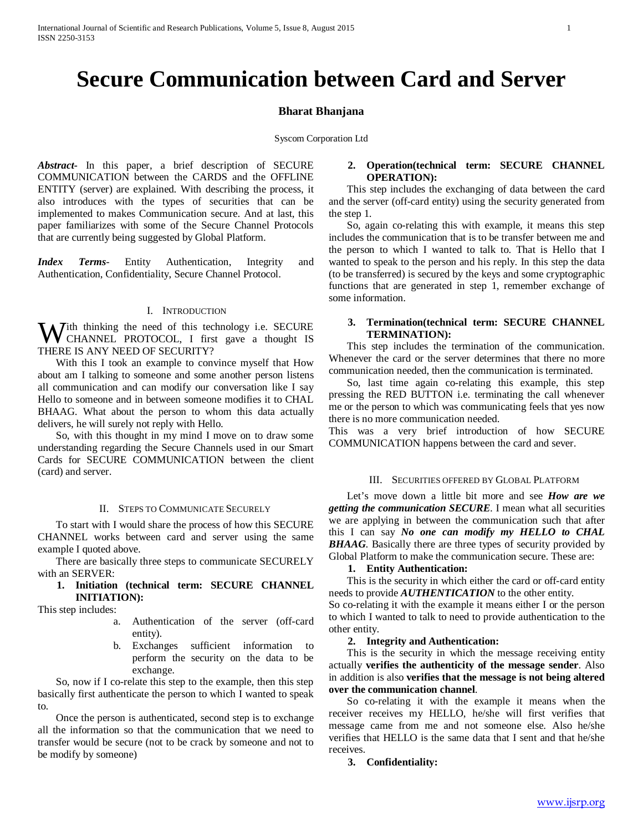# **Secure Communication between Card and Server**

# **Bharat Bhanjana**

Syscom Corporation Ltd

*Abstract***-** In this paper, a brief description of SECURE COMMUNICATION between the CARDS and the OFFLINE ENTITY (server) are explained. With describing the process, it also introduces with the types of securities that can be implemented to makes Communication secure. And at last, this paper familiarizes with some of the Secure Channel Protocols that are currently being suggested by Global Platform.

*Index Terms*- Entity Authentication, Integrity and Authentication, Confidentiality, Secure Channel Protocol.

# I. INTRODUCTION

**W** ith thinking the need of this technology i.e. SECURE CHANNEL PROTOCOL, I first gave a thought IS CHANNEL PROTOCOL, I first gave a thought IS THERE IS ANY NEED OF SECURITY?

 With this I took an example to convince myself that How about am I talking to someone and some another person listens all communication and can modify our conversation like I say Hello to someone and in between someone modifies it to CHAL BHAAG. What about the person to whom this data actually delivers, he will surely not reply with Hello.

 So, with this thought in my mind I move on to draw some understanding regarding the Secure Channels used in our Smart Cards for SECURE COMMUNICATION between the client (card) and server.

#### II. STEPS TO COMMUNICATE SECURELY

 To start with I would share the process of how this SECURE CHANNEL works between card and server using the same example I quoted above.

 There are basically three steps to communicate SECURELY with an SERVER:

# **1. Initiation (technical term: SECURE CHANNEL INITIATION):**

This step includes:

- a. Authentication of the server (off-card entity).
- b. Exchanges sufficient information to perform the security on the data to be exchange.

 So, now if I co-relate this step to the example, then this step basically first authenticate the person to which I wanted to speak to.

 Once the person is authenticated, second step is to exchange all the information so that the communication that we need to transfer would be secure (not to be crack by someone and not to be modify by someone)

# **2. Operation(technical term: SECURE CHANNEL OPERATION):**

 This step includes the exchanging of data between the card and the server (off-card entity) using the security generated from the step 1.

 So, again co-relating this with example, it means this step includes the communication that is to be transfer between me and the person to which I wanted to talk to. That is Hello that I wanted to speak to the person and his reply. In this step the data (to be transferred) is secured by the keys and some cryptographic functions that are generated in step 1, remember exchange of some information.

# **3. Termination(technical term: SECURE CHANNEL TERMINATION):**

 This step includes the termination of the communication. Whenever the card or the server determines that there no more communication needed, then the communication is terminated.

 So, last time again co-relating this example, this step pressing the RED BUTTON i.e. terminating the call whenever me or the person to which was communicating feels that yes now there is no more communication needed.

This was a very brief introduction of how SECURE COMMUNICATION happens between the card and sever.

# III. SECURITIES OFFERED BY GLOBAL PLATFORM

 Let's move down a little bit more and see *How are we getting the communication SECURE*. I mean what all securities we are applying in between the communication such that after this I can say *No one can modify my HELLO to CHAL BHAAG*. Basically there are three types of security provided by Global Platform to make the communication secure. These are:

#### **1. Entity Authentication:**

 This is the security in which either the card or off-card entity needs to provide *AUTHENTICATION* to the other entity.

So co-relating it with the example it means either I or the person to which I wanted to talk to need to provide authentication to the other entity.

# **2. Integrity and Authentication:**

 This is the security in which the message receiving entity actually **verifies the authenticity of the message sender**. Also in addition is also **verifies that the message is not being altered over the communication channel**.

 So co-relating it with the example it means when the receiver receives my HELLO, he/she will first verifies that message came from me and not someone else. Also he/she verifies that HELLO is the same data that I sent and that he/she receives.

**3. Confidentiality:**